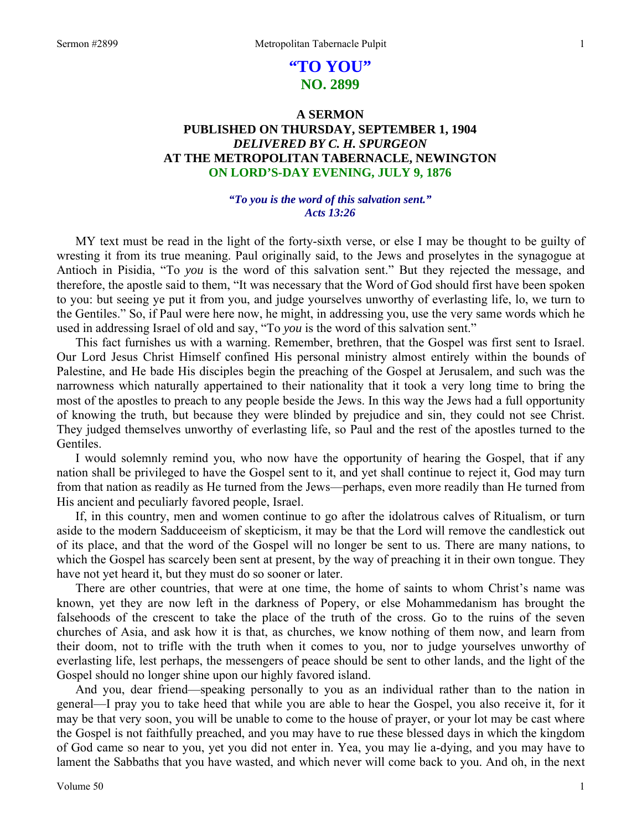# **"TO YOU" NO. 2899**

# **A SERMON PUBLISHED ON THURSDAY, SEPTEMBER 1, 1904**  *DELIVERED BY C. H. SPURGEON*  **AT THE METROPOLITAN TABERNACLE, NEWINGTON ON LORD'S-DAY EVENING, JULY 9, 1876**

### *"To you is the word of this salvation sent." Acts 13:26*

MY text must be read in the light of the forty-sixth verse, or else I may be thought to be guilty of wresting it from its true meaning. Paul originally said, to the Jews and proselytes in the synagogue at Antioch in Pisidia, "To *you* is the word of this salvation sent." But they rejected the message, and therefore, the apostle said to them, "It was necessary that the Word of God should first have been spoken to you: but seeing ye put it from you, and judge yourselves unworthy of everlasting life, lo, we turn to the Gentiles." So, if Paul were here now, he might, in addressing you, use the very same words which he used in addressing Israel of old and say, "To *you* is the word of this salvation sent."

This fact furnishes us with a warning. Remember, brethren, that the Gospel was first sent to Israel. Our Lord Jesus Christ Himself confined His personal ministry almost entirely within the bounds of Palestine, and He bade His disciples begin the preaching of the Gospel at Jerusalem, and such was the narrowness which naturally appertained to their nationality that it took a very long time to bring the most of the apostles to preach to any people beside the Jews. In this way the Jews had a full opportunity of knowing the truth, but because they were blinded by prejudice and sin, they could not see Christ. They judged themselves unworthy of everlasting life, so Paul and the rest of the apostles turned to the Gentiles.

I would solemnly remind you, who now have the opportunity of hearing the Gospel, that if any nation shall be privileged to have the Gospel sent to it, and yet shall continue to reject it, God may turn from that nation as readily as He turned from the Jews—perhaps, even more readily than He turned from His ancient and peculiarly favored people, Israel.

If, in this country, men and women continue to go after the idolatrous calves of Ritualism, or turn aside to the modern Sadduceeism of skepticism, it may be that the Lord will remove the candlestick out of its place, and that the word of the Gospel will no longer be sent to us. There are many nations, to which the Gospel has scarcely been sent at present, by the way of preaching it in their own tongue. They have not yet heard it, but they must do so sooner or later.

There are other countries, that were at one time, the home of saints to whom Christ's name was known, yet they are now left in the darkness of Popery, or else Mohammedanism has brought the falsehoods of the crescent to take the place of the truth of the cross. Go to the ruins of the seven churches of Asia, and ask how it is that, as churches, we know nothing of them now, and learn from their doom, not to trifle with the truth when it comes to you, nor to judge yourselves unworthy of everlasting life, lest perhaps, the messengers of peace should be sent to other lands, and the light of the Gospel should no longer shine upon our highly favored island.

And you, dear friend—speaking personally to you as an individual rather than to the nation in general—I pray you to take heed that while you are able to hear the Gospel, you also receive it, for it may be that very soon, you will be unable to come to the house of prayer, or your lot may be cast where the Gospel is not faithfully preached, and you may have to rue these blessed days in which the kingdom of God came so near to you, yet you did not enter in. Yea, you may lie a-dying, and you may have to lament the Sabbaths that you have wasted, and which never will come back to you. And oh, in the next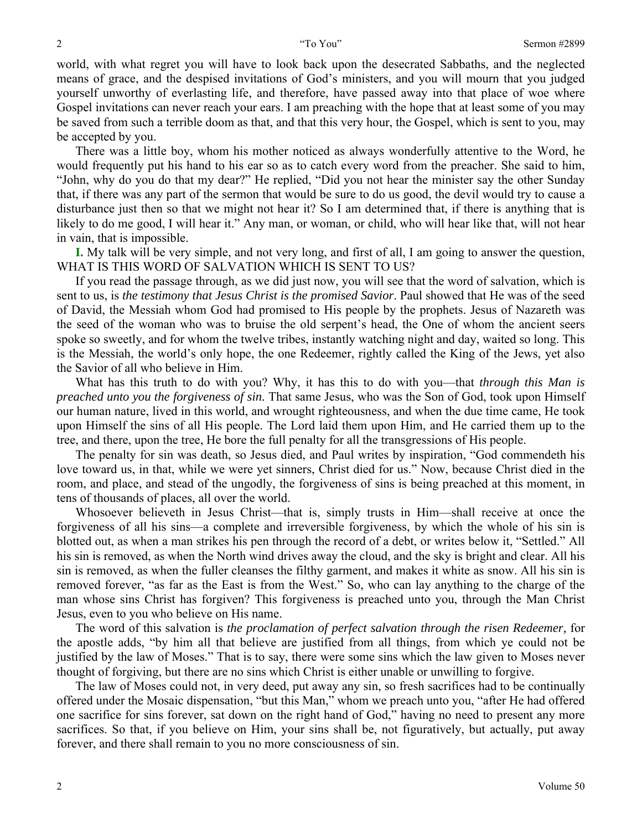world, with what regret you will have to look back upon the desecrated Sabbaths, and the neglected means of grace, and the despised invitations of God's ministers, and you will mourn that you judged yourself unworthy of everlasting life, and therefore, have passed away into that place of woe where Gospel invitations can never reach your ears. I am preaching with the hope that at least some of you may be saved from such a terrible doom as that, and that this very hour, the Gospel, which is sent to you, may be accepted by you.

There was a little boy, whom his mother noticed as always wonderfully attentive to the Word, he would frequently put his hand to his ear so as to catch every word from the preacher. She said to him, "John, why do you do that my dear?" He replied, "Did you not hear the minister say the other Sunday that, if there was any part of the sermon that would be sure to do us good, the devil would try to cause a disturbance just then so that we might not hear it? So I am determined that, if there is anything that is likely to do me good, I will hear it." Any man, or woman, or child, who will hear like that, will not hear in vain, that is impossible.

**I.** My talk will be very simple, and not very long, and first of all, I am going to answer the question, WHAT IS THIS WORD OF SALVATION WHICH IS SENT TO US?

If you read the passage through, as we did just now, you will see that the word of salvation, which is sent to us, is *the testimony that Jesus Christ is the promised Savior*. Paul showed that He was of the seed of David, the Messiah whom God had promised to His people by the prophets. Jesus of Nazareth was the seed of the woman who was to bruise the old serpent's head, the One of whom the ancient seers spoke so sweetly, and for whom the twelve tribes, instantly watching night and day, waited so long. This is the Messiah, the world's only hope, the one Redeemer, rightly called the King of the Jews, yet also the Savior of all who believe in Him.

What has this truth to do with you? Why, it has this to do with you—that *through this Man is preached unto you the forgiveness of sin.* That same Jesus, who was the Son of God, took upon Himself our human nature, lived in this world, and wrought righteousness, and when the due time came, He took upon Himself the sins of all His people. The Lord laid them upon Him, and He carried them up to the tree, and there, upon the tree, He bore the full penalty for all the transgressions of His people.

The penalty for sin was death, so Jesus died, and Paul writes by inspiration, "God commendeth his love toward us, in that, while we were yet sinners, Christ died for us." Now, because Christ died in the room, and place, and stead of the ungodly, the forgiveness of sins is being preached at this moment, in tens of thousands of places, all over the world.

Whosoever believeth in Jesus Christ—that is, simply trusts in Him—shall receive at once the forgiveness of all his sins—a complete and irreversible forgiveness, by which the whole of his sin is blotted out, as when a man strikes his pen through the record of a debt, or writes below it, "Settled." All his sin is removed, as when the North wind drives away the cloud, and the sky is bright and clear. All his sin is removed, as when the fuller cleanses the filthy garment, and makes it white as snow. All his sin is removed forever, "as far as the East is from the West." So, who can lay anything to the charge of the man whose sins Christ has forgiven? This forgiveness is preached unto you, through the Man Christ Jesus, even to you who believe on His name.

The word of this salvation is *the proclamation of perfect salvation through the risen Redeemer,* for the apostle adds, "by him all that believe are justified from all things, from which ye could not be justified by the law of Moses." That is to say, there were some sins which the law given to Moses never thought of forgiving, but there are no sins which Christ is either unable or unwilling to forgive.

The law of Moses could not, in very deed, put away any sin, so fresh sacrifices had to be continually offered under the Mosaic dispensation, "but this Man," whom we preach unto you, "after He had offered one sacrifice for sins forever, sat down on the right hand of God," having no need to present any more sacrifices. So that, if you believe on Him, your sins shall be, not figuratively, but actually, put away forever, and there shall remain to you no more consciousness of sin.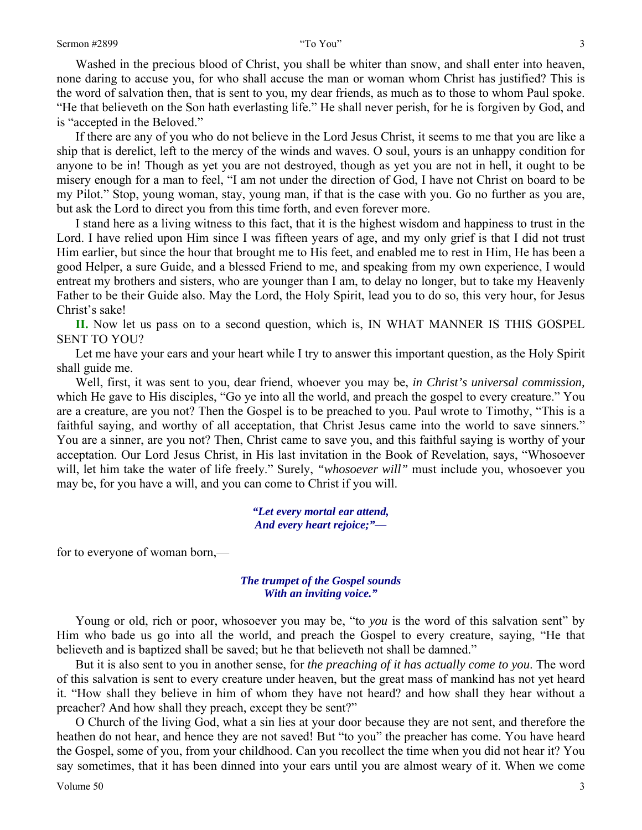Washed in the precious blood of Christ, you shall be whiter than snow, and shall enter into heaven, none daring to accuse you, for who shall accuse the man or woman whom Christ has justified? This is the word of salvation then, that is sent to you, my dear friends, as much as to those to whom Paul spoke. "He that believeth on the Son hath everlasting life." He shall never perish, for he is forgiven by God, and is "accepted in the Beloved."

If there are any of you who do not believe in the Lord Jesus Christ, it seems to me that you are like a ship that is derelict, left to the mercy of the winds and waves. O soul, yours is an unhappy condition for anyone to be in! Though as yet you are not destroyed, though as yet you are not in hell, it ought to be misery enough for a man to feel, "I am not under the direction of God, I have not Christ on board to be my Pilot." Stop, young woman, stay, young man, if that is the case with you. Go no further as you are, but ask the Lord to direct you from this time forth, and even forever more.

I stand here as a living witness to this fact, that it is the highest wisdom and happiness to trust in the Lord. I have relied upon Him since I was fifteen years of age, and my only grief is that I did not trust Him earlier, but since the hour that brought me to His feet, and enabled me to rest in Him, He has been a good Helper, a sure Guide, and a blessed Friend to me, and speaking from my own experience, I would entreat my brothers and sisters, who are younger than I am, to delay no longer, but to take my Heavenly Father to be their Guide also. May the Lord, the Holy Spirit, lead you to do so, this very hour, for Jesus Christ's sake!

**II.** Now let us pass on to a second question, which is, IN WHAT MANNER IS THIS GOSPEL SENT TO YOU?

Let me have your ears and your heart while I try to answer this important question, as the Holy Spirit shall guide me.

Well, first, it was sent to you, dear friend, whoever you may be, *in Christ's universal commission,* which He gave to His disciples, "Go ye into all the world, and preach the gospel to every creature." You are a creature, are you not? Then the Gospel is to be preached to you. Paul wrote to Timothy, "This is a faithful saying, and worthy of all acceptation, that Christ Jesus came into the world to save sinners." You are a sinner, are you not? Then, Christ came to save you, and this faithful saying is worthy of your acceptation. Our Lord Jesus Christ, in His last invitation in the Book of Revelation, says, "Whosoever will, let him take the water of life freely." Surely, *"whosoever will"* must include you, whosoever you may be, for you have a will, and you can come to Christ if you will.

> *"Let every mortal ear attend, And every heart rejoice;"—*

for to everyone of woman born,—

### *The trumpet of the Gospel sounds With an inviting voice."*

Young or old, rich or poor, whosoever you may be, "to *you* is the word of this salvation sent" by Him who bade us go into all the world, and preach the Gospel to every creature, saying, "He that believeth and is baptized shall be saved; but he that believeth not shall be damned."

But it is also sent to you in another sense, for *the preaching of it has actually come to you*. The word of this salvation is sent to every creature under heaven, but the great mass of mankind has not yet heard it. "How shall they believe in him of whom they have not heard? and how shall they hear without a preacher? And how shall they preach, except they be sent?"

O Church of the living God, what a sin lies at your door because they are not sent, and therefore the heathen do not hear, and hence they are not saved! But "to you" the preacher has come. You have heard the Gospel, some of you, from your childhood. Can you recollect the time when you did not hear it? You say sometimes, that it has been dinned into your ears until you are almost weary of it. When we come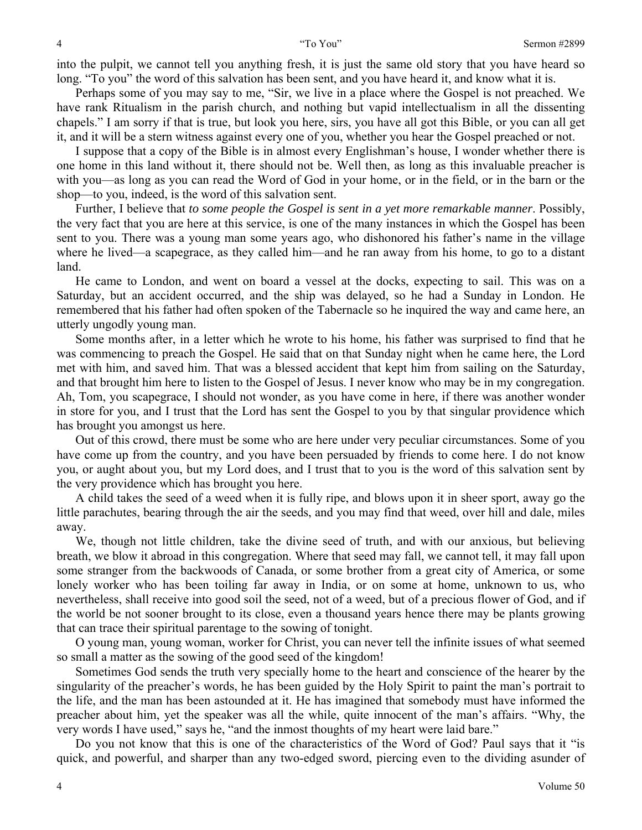into the pulpit, we cannot tell you anything fresh, it is just the same old story that you have heard so long. "To you" the word of this salvation has been sent, and you have heard it, and know what it is.

Perhaps some of you may say to me, "Sir, we live in a place where the Gospel is not preached. We have rank Ritualism in the parish church, and nothing but vapid intellectualism in all the dissenting chapels." I am sorry if that is true, but look you here, sirs, you have all got this Bible, or you can all get it, and it will be a stern witness against every one of you, whether you hear the Gospel preached or not.

I suppose that a copy of the Bible is in almost every Englishman's house, I wonder whether there is one home in this land without it, there should not be. Well then, as long as this invaluable preacher is with you—as long as you can read the Word of God in your home, or in the field, or in the barn or the shop—to you, indeed, is the word of this salvation sent.

Further, I believe that *to some people the Gospel is sent in a yet more remarkable manner*. Possibly, the very fact that you are here at this service, is one of the many instances in which the Gospel has been sent to you. There was a young man some years ago, who dishonored his father's name in the village where he lived—a scapegrace, as they called him—and he ran away from his home, to go to a distant land.

He came to London, and went on board a vessel at the docks, expecting to sail. This was on a Saturday, but an accident occurred, and the ship was delayed, so he had a Sunday in London. He remembered that his father had often spoken of the Tabernacle so he inquired the way and came here, an utterly ungodly young man.

Some months after, in a letter which he wrote to his home, his father was surprised to find that he was commencing to preach the Gospel. He said that on that Sunday night when he came here, the Lord met with him, and saved him. That was a blessed accident that kept him from sailing on the Saturday, and that brought him here to listen to the Gospel of Jesus. I never know who may be in my congregation. Ah, Tom, you scapegrace, I should not wonder, as you have come in here, if there was another wonder in store for you, and I trust that the Lord has sent the Gospel to you by that singular providence which has brought you amongst us here.

Out of this crowd, there must be some who are here under very peculiar circumstances. Some of you have come up from the country, and you have been persuaded by friends to come here. I do not know you, or aught about you, but my Lord does, and I trust that to you is the word of this salvation sent by the very providence which has brought you here.

A child takes the seed of a weed when it is fully ripe, and blows upon it in sheer sport, away go the little parachutes, bearing through the air the seeds, and you may find that weed, over hill and dale, miles away.

We, though not little children, take the divine seed of truth, and with our anxious, but believing breath, we blow it abroad in this congregation. Where that seed may fall, we cannot tell, it may fall upon some stranger from the backwoods of Canada, or some brother from a great city of America, or some lonely worker who has been toiling far away in India, or on some at home, unknown to us, who nevertheless, shall receive into good soil the seed, not of a weed, but of a precious flower of God, and if the world be not sooner brought to its close, even a thousand years hence there may be plants growing that can trace their spiritual parentage to the sowing of tonight.

O young man, young woman, worker for Christ, you can never tell the infinite issues of what seemed so small a matter as the sowing of the good seed of the kingdom!

Sometimes God sends the truth very specially home to the heart and conscience of the hearer by the singularity of the preacher's words, he has been guided by the Holy Spirit to paint the man's portrait to the life, and the man has been astounded at it. He has imagined that somebody must have informed the preacher about him, yet the speaker was all the while, quite innocent of the man's affairs. "Why, the very words I have used," says he, "and the inmost thoughts of my heart were laid bare."

Do you not know that this is one of the characteristics of the Word of God? Paul says that it "is quick, and powerful, and sharper than any two-edged sword, piercing even to the dividing asunder of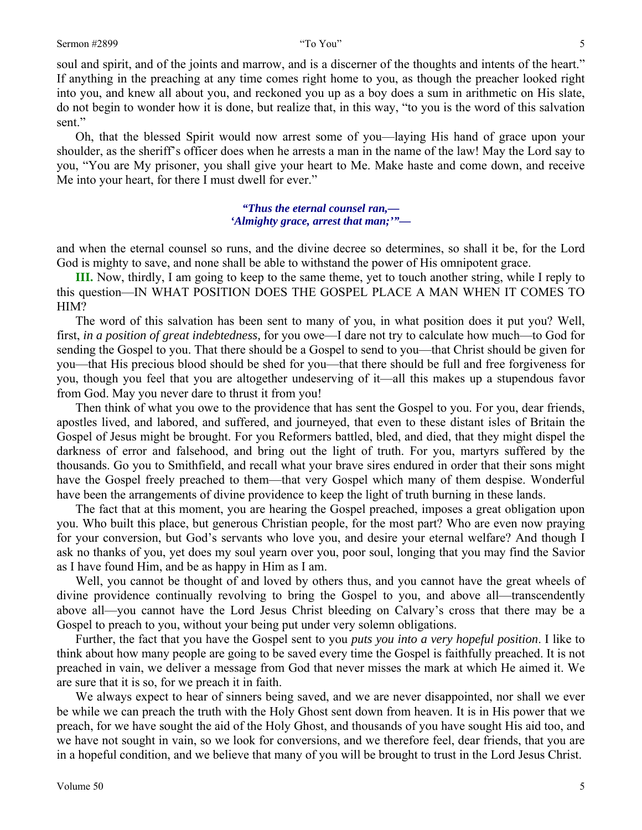soul and spirit, and of the joints and marrow, and is a discerner of the thoughts and intents of the heart." If anything in the preaching at any time comes right home to you, as though the preacher looked right into you, and knew all about you, and reckoned you up as a boy does a sum in arithmetic on His slate, do not begin to wonder how it is done, but realize that, in this way, "to you is the word of this salvation sent."

Oh, that the blessed Spirit would now arrest some of you—laying His hand of grace upon your shoulder, as the sheriff's officer does when he arrests a man in the name of the law! May the Lord say to you, "You are My prisoner, you shall give your heart to Me. Make haste and come down, and receive Me into your heart, for there I must dwell for ever."

> *"Thus the eternal counsel ran,— 'Almighty grace, arrest that man;'"—*

and when the eternal counsel so runs, and the divine decree so determines, so shall it be, for the Lord God is mighty to save, and none shall be able to withstand the power of His omnipotent grace.

**III.** Now, thirdly, I am going to keep to the same theme, yet to touch another string, while I reply to this question—IN WHAT POSITION DOES THE GOSPEL PLACE A MAN WHEN IT COMES TO HIM?

The word of this salvation has been sent to many of you, in what position does it put you? Well, first, *in a position of great indebtedness,* for you owe—I dare not try to calculate how much—to God for sending the Gospel to you. That there should be a Gospel to send to you—that Christ should be given for you—that His precious blood should be shed for you—that there should be full and free forgiveness for you, though you feel that you are altogether undeserving of it—all this makes up a stupendous favor from God. May you never dare to thrust it from you!

Then think of what you owe to the providence that has sent the Gospel to you. For you, dear friends, apostles lived, and labored, and suffered, and journeyed, that even to these distant isles of Britain the Gospel of Jesus might be brought. For you Reformers battled, bled, and died, that they might dispel the darkness of error and falsehood, and bring out the light of truth. For you, martyrs suffered by the thousands. Go you to Smithfield, and recall what your brave sires endured in order that their sons might have the Gospel freely preached to them—that very Gospel which many of them despise. Wonderful have been the arrangements of divine providence to keep the light of truth burning in these lands.

The fact that at this moment, you are hearing the Gospel preached, imposes a great obligation upon you. Who built this place, but generous Christian people, for the most part? Who are even now praying for your conversion, but God's servants who love you, and desire your eternal welfare? And though I ask no thanks of you, yet does my soul yearn over you, poor soul, longing that you may find the Savior as I have found Him, and be as happy in Him as I am.

Well, you cannot be thought of and loved by others thus, and you cannot have the great wheels of divine providence continually revolving to bring the Gospel to you, and above all—transcendently above all—you cannot have the Lord Jesus Christ bleeding on Calvary's cross that there may be a Gospel to preach to you, without your being put under very solemn obligations.

Further, the fact that you have the Gospel sent to you *puts you into a very hopeful position*. I like to think about how many people are going to be saved every time the Gospel is faithfully preached. It is not preached in vain, we deliver a message from God that never misses the mark at which He aimed it. We are sure that it is so, for we preach it in faith.

We always expect to hear of sinners being saved, and we are never disappointed, nor shall we ever be while we can preach the truth with the Holy Ghost sent down from heaven. It is in His power that we preach, for we have sought the aid of the Holy Ghost, and thousands of you have sought His aid too, and we have not sought in vain, so we look for conversions, and we therefore feel, dear friends, that you are in a hopeful condition, and we believe that many of you will be brought to trust in the Lord Jesus Christ.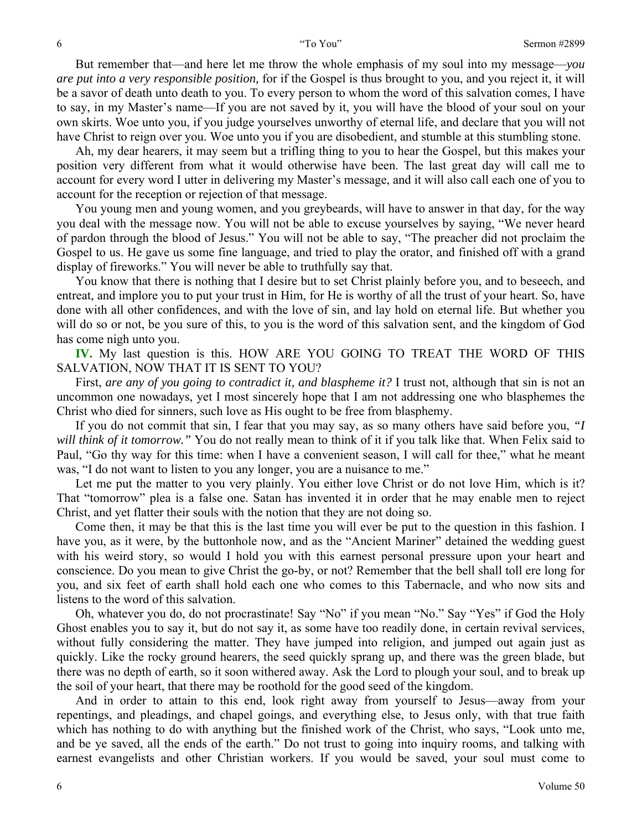But remember that—and here let me throw the whole emphasis of my soul into my message—*you are put into a very responsible position,* for if the Gospel is thus brought to you, and you reject it, it will be a savor of death unto death to you. To every person to whom the word of this salvation comes, I have to say, in my Master's name—If you are not saved by it, you will have the blood of your soul on your own skirts. Woe unto you, if you judge yourselves unworthy of eternal life, and declare that you will not have Christ to reign over you. Woe unto you if you are disobedient, and stumble at this stumbling stone.

Ah, my dear hearers, it may seem but a trifling thing to you to hear the Gospel, but this makes your position very different from what it would otherwise have been. The last great day will call me to account for every word I utter in delivering my Master's message, and it will also call each one of you to account for the reception or rejection of that message.

You young men and young women, and you greybeards, will have to answer in that day, for the way you deal with the message now. You will not be able to excuse yourselves by saying, "We never heard of pardon through the blood of Jesus." You will not be able to say, "The preacher did not proclaim the Gospel to us. He gave us some fine language, and tried to play the orator, and finished off with a grand display of fireworks." You will never be able to truthfully say that.

You know that there is nothing that I desire but to set Christ plainly before you, and to beseech, and entreat, and implore you to put your trust in Him, for He is worthy of all the trust of your heart. So, have done with all other confidences, and with the love of sin, and lay hold on eternal life. But whether you will do so or not, be you sure of this, to you is the word of this salvation sent, and the kingdom of God has come nigh unto you.

**IV.** My last question is this. HOW ARE YOU GOING TO TREAT THE WORD OF THIS SALVATION, NOW THAT IT IS SENT TO YOU?

First, *are any of you going to contradict it, and blaspheme it?* I trust not, although that sin is not an uncommon one nowadays, yet I most sincerely hope that I am not addressing one who blasphemes the Christ who died for sinners, such love as His ought to be free from blasphemy.

If you do not commit that sin, I fear that you may say, as so many others have said before you, *"I will think of it tomorrow."* You do not really mean to think of it if you talk like that. When Felix said to Paul, "Go thy way for this time: when I have a convenient season, I will call for thee," what he meant was, "I do not want to listen to you any longer, you are a nuisance to me."

Let me put the matter to you very plainly. You either love Christ or do not love Him, which is it? That "tomorrow" plea is a false one. Satan has invented it in order that he may enable men to reject Christ, and yet flatter their souls with the notion that they are not doing so.

Come then, it may be that this is the last time you will ever be put to the question in this fashion. I have you, as it were, by the buttonhole now, and as the "Ancient Mariner" detained the wedding guest with his weird story, so would I hold you with this earnest personal pressure upon your heart and conscience. Do you mean to give Christ the go-by, or not? Remember that the bell shall toll ere long for you, and six feet of earth shall hold each one who comes to this Tabernacle, and who now sits and listens to the word of this salvation.

Oh, whatever you do, do not procrastinate! Say "No" if you mean "No." Say "Yes" if God the Holy Ghost enables you to say it, but do not say it, as some have too readily done, in certain revival services, without fully considering the matter. They have jumped into religion, and jumped out again just as quickly. Like the rocky ground hearers, the seed quickly sprang up, and there was the green blade, but there was no depth of earth, so it soon withered away. Ask the Lord to plough your soul, and to break up the soil of your heart, that there may be roothold for the good seed of the kingdom.

And in order to attain to this end, look right away from yourself to Jesus—away from your repentings, and pleadings, and chapel goings, and everything else, to Jesus only, with that true faith which has nothing to do with anything but the finished work of the Christ, who says, "Look unto me, and be ye saved, all the ends of the earth." Do not trust to going into inquiry rooms, and talking with earnest evangelists and other Christian workers. If you would be saved, your soul must come to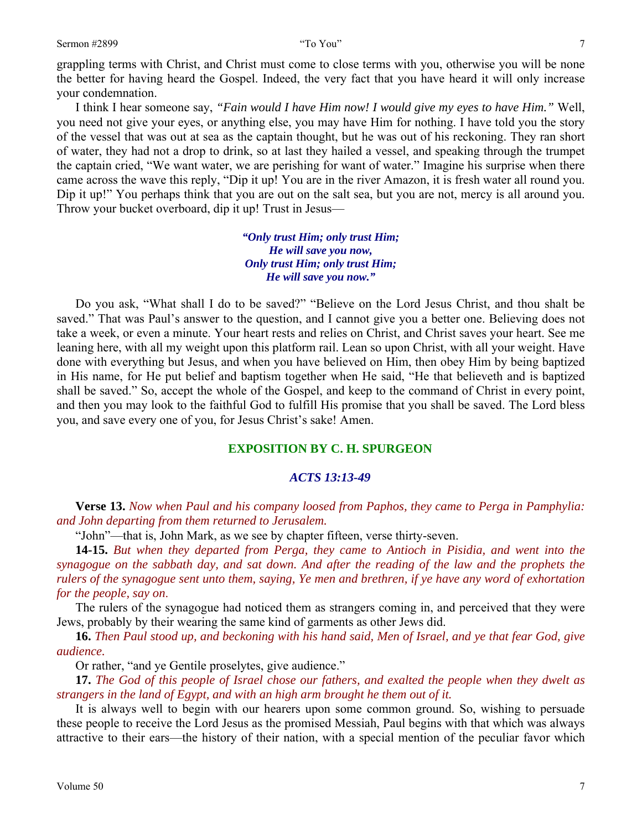grappling terms with Christ, and Christ must come to close terms with you, otherwise you will be none the better for having heard the Gospel. Indeed, the very fact that you have heard it will only increase your condemnation.

I think I hear someone say, *"Fain would I have Him now! I would give my eyes to have Him."* Well, you need not give your eyes, or anything else, you may have Him for nothing. I have told you the story of the vessel that was out at sea as the captain thought, but he was out of his reckoning. They ran short of water, they had not a drop to drink, so at last they hailed a vessel, and speaking through the trumpet the captain cried, "We want water, we are perishing for want of water." Imagine his surprise when there came across the wave this reply, "Dip it up! You are in the river Amazon, it is fresh water all round you. Dip it up!" You perhaps think that you are out on the salt sea, but you are not, mercy is all around you. Throw your bucket overboard, dip it up! Trust in Jesus—

> *"Only trust Him; only trust Him; He will save you now, Only trust Him; only trust Him; He will save you now."*

Do you ask, "What shall I do to be saved?" "Believe on the Lord Jesus Christ, and thou shalt be saved." That was Paul's answer to the question, and I cannot give you a better one. Believing does not take a week, or even a minute. Your heart rests and relies on Christ, and Christ saves your heart. See me leaning here, with all my weight upon this platform rail. Lean so upon Christ, with all your weight. Have done with everything but Jesus, and when you have believed on Him, then obey Him by being baptized in His name, for He put belief and baptism together when He said, "He that believeth and is baptized shall be saved." So, accept the whole of the Gospel, and keep to the command of Christ in every point, and then you may look to the faithful God to fulfill His promise that you shall be saved. The Lord bless you, and save every one of you, for Jesus Christ's sake! Amen.

### **EXPOSITION BY C. H. SPURGEON**

### *ACTS 13:13-49*

**Verse 13.** *Now when Paul and his company loosed from Paphos, they came to Perga in Pamphylia: and John departing from them returned to Jerusalem.* 

"John"—that is, John Mark, as we see by chapter fifteen, verse thirty-seven.

**14-15.** *But when they departed from Perga, they came to Antioch in Pisidia, and went into the synagogue on the sabbath day, and sat down. And after the reading of the law and the prophets the rulers of the synagogue sent unto them, saying, Ye men and brethren, if ye have any word of exhortation for the people, say on*.

The rulers of the synagogue had noticed them as strangers coming in, and perceived that they were Jews, probably by their wearing the same kind of garments as other Jews did.

**16.** *Then Paul stood up, and beckoning with his hand said, Men of Israel, and ye that fear God, give audience.* 

Or rather, "and ye Gentile proselytes, give audience."

**17.** *The God of this people of Israel chose our fathers, and exalted the people when they dwelt as strangers in the land of Egypt, and with an high arm brought he them out of it.* 

It is always well to begin with our hearers upon some common ground. So, wishing to persuade these people to receive the Lord Jesus as the promised Messiah, Paul begins with that which was always attractive to their ears—the history of their nation, with a special mention of the peculiar favor which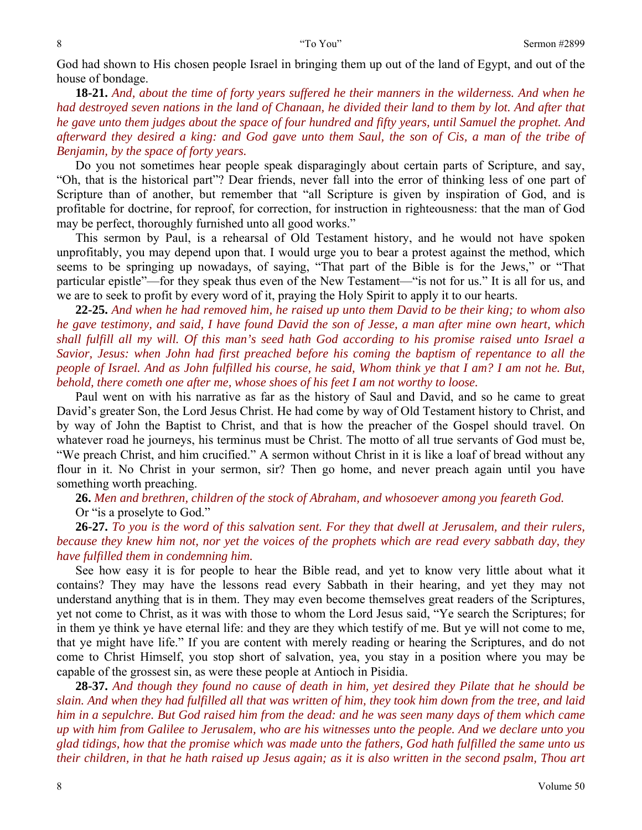God had shown to His chosen people Israel in bringing them up out of the land of Egypt, and out of the house of bondage.

**18-21.** *And, about the time of forty years suffered he their manners in the wilderness. And when he had destroyed seven nations in the land of Chanaan, he divided their land to them by lot. And after that he gave unto them judges about the space of four hundred and fifty years, until Samuel the prophet. And afterward they desired a king: and God gave unto them Saul, the son of Cis, a man of the tribe of Benjamin, by the space of forty years.* 

Do you not sometimes hear people speak disparagingly about certain parts of Scripture, and say, "Oh, that is the historical part"? Dear friends, never fall into the error of thinking less of one part of Scripture than of another, but remember that "all Scripture is given by inspiration of God, and is profitable for doctrine, for reproof, for correction, for instruction in righteousness: that the man of God may be perfect, thoroughly furnished unto all good works."

This sermon by Paul, is a rehearsal of Old Testament history, and he would not have spoken unprofitably, you may depend upon that. I would urge you to bear a protest against the method, which seems to be springing up nowadays, of saying, "That part of the Bible is for the Jews," or "That particular epistle"—for they speak thus even of the New Testament—"is not for us." It is all for us, and we are to seek to profit by every word of it, praying the Holy Spirit to apply it to our hearts.

**22-25.** *And when he had removed him, he raised up unto them David to be their king; to whom also he gave testimony, and said, I have found David the son of Jesse, a man after mine own heart, which shall fulfill all my will. Of this man's seed hath God according to his promise raised unto Israel a Savior, Jesus: when John had first preached before his coming the baptism of repentance to all the people of Israel. And as John fulfilled his course, he said, Whom think ye that I am? I am not he. But, behold, there cometh one after me, whose shoes of his feet I am not worthy to loose.* 

Paul went on with his narrative as far as the history of Saul and David, and so he came to great David's greater Son, the Lord Jesus Christ. He had come by way of Old Testament history to Christ, and by way of John the Baptist to Christ, and that is how the preacher of the Gospel should travel. On whatever road he journeys, his terminus must be Christ. The motto of all true servants of God must be, "We preach Christ, and him crucified." A sermon without Christ in it is like a loaf of bread without any flour in it. No Christ in your sermon, sir? Then go home, and never preach again until you have something worth preaching.

**26.** *Men and brethren, children of the stock of Abraham, and whosoever among you feareth God.*  Or "is a proselyte to God."

**26-27.** *To you is the word of this salvation sent. For they that dwell at Jerusalem, and their rulers, because they knew him not, nor yet the voices of the prophets which are read every sabbath day, they have fulfilled them in condemning him.* 

See how easy it is for people to hear the Bible read, and yet to know very little about what it contains? They may have the lessons read every Sabbath in their hearing, and yet they may not understand anything that is in them. They may even become themselves great readers of the Scriptures, yet not come to Christ, as it was with those to whom the Lord Jesus said, "Ye search the Scriptures; for in them ye think ye have eternal life: and they are they which testify of me. But ye will not come to me, that ye might have life." If you are content with merely reading or hearing the Scriptures, and do not come to Christ Himself, you stop short of salvation, yea, you stay in a position where you may be capable of the grossest sin, as were these people at Antioch in Pisidia.

**28-37.** *And though they found no cause of death in him, yet desired they Pilate that he should be slain. And when they had fulfilled all that was written of him, they took him down from the tree, and laid him in a sepulchre. But God raised him from the dead: and he was seen many days of them which came up with him from Galilee to Jerusalem, who are his witnesses unto the people. And we declare unto you glad tidings, how that the promise which was made unto the fathers, God hath fulfilled the same unto us their children, in that he hath raised up Jesus again; as it is also written in the second psalm, Thou art*